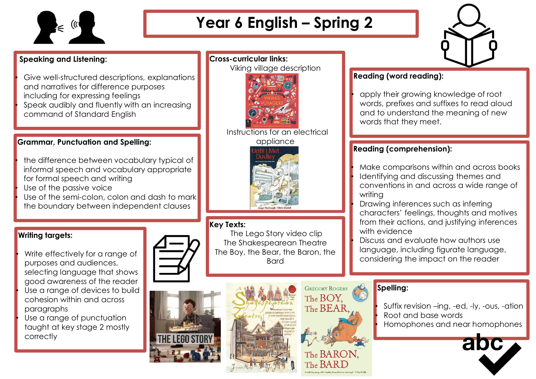

# **Year 6 English – Spring 2**

## **Speaking and Listening:**

Give well-structured descriptions, explanations and narratives for difference purposes including for expressing feelings • Speak audibly and fluently with an increasing

command of Standard English

## **Grammar, Punctuation and Spelling:**

- the difference between vocabulary typical of informal speech and vocabulary appropriate for formal speech and writing
- Use of the passive voice
- Use of the semi-colon, colon and dash to mark the boundary between independent clauses

## **Writing targets:**

Write effectively for a range of purposes and audiences, selecting language that shows good awareness of the reader Use a range of devices to build cohesion within and across paragraphs Use a range of punctuation taught at key stage 2 mostly correctly

## Viking village description

**Cross-curricular links:**



Instructions for an electrical appliance



### **Key Texts:**

The Lego Story video clip The Shakespearean Theatre The Boy, the Bear, the Baron, the Bard



**GREGORY ROGERS** The BOY. The BEAF The BARON.

## **Spelling:**

• Suffix revision –ing, -ed, -ly, -ous, -ation • Root and base words • Homophones and near homophones





## **Reading (word reading):**

• apply their growing knowledge of root words, prefixes and suffixes to read aloud and to understand the meaning of new words that they meet.

## **Reading (comprehension):**

• Make comparisons within and across books • Identifying and discussing themes and conventions in and across a wide range of writing

• Drawing inferences such as inferring characters' feelings, thoughts and motives from their actions, and justifying inferences with evidence

• Discuss and evaluate how authors use language, including figurate language, considering the impact on the reader